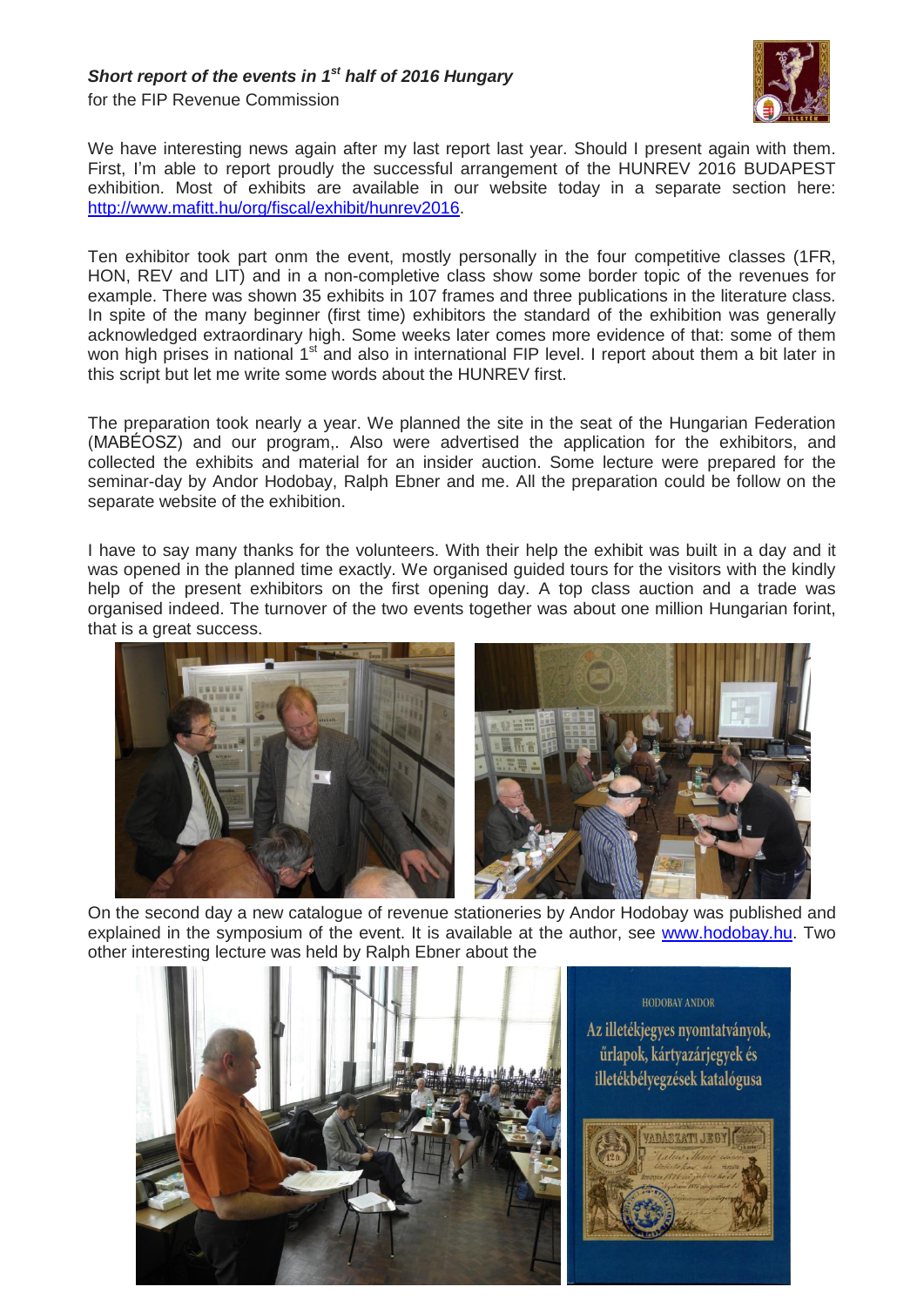## *Short report of the events in 1 st half of 2016 Hungary*

for the FIP Revenue Commission



We have interesting news again after my last report last year. Should I present again with them. First, I'm able to report proudly the successful arrangement of the HUNREV 2016 BUDAPEST exhibition. Most of exhibits are available in our website today in a separate section here: [http://www.mafitt.hu/org/fiscal/exhibit/hunrev2016.](http://www.mafitt.hu/org/fiscal/exhibit/hunrev2016)

Ten exhibitor took part onm the event, mostly personally in the four competitive classes (1FR, HON, REV and LIT) and in a non-completive class show some border topic of the revenues for example. There was shown 35 exhibits in 107 frames and three publications in the literature class. In spite of the many beginner (first time) exhibitors the standard of the exhibition was generally acknowledged extraordinary high. Some weeks later comes more evidence of that: some of them won high prises in national 1<sup>st</sup> and also in international FIP level. I report about them a bit later in this script but let me write some words about the HUNREV first.

The preparation took nearly a year. We planned the site in the seat of the Hungarian Federation (MABÉOSZ) and our program,. Also were advertised the application for the exhibitors, and collected the exhibits and material for an insider auction. Some lecture were prepared for the seminar-day by Andor Hodobay, Ralph Ebner and me. All the preparation could be follow on the separate website of the exhibition.

I have to say many thanks for the volunteers. With their help the exhibit was built in a day and it was opened in the planned time exactly. We organised guided tours for the visitors with the kindly help of the present exhibitors on the first opening day. A top class auction and a trade was organised indeed. The turnover of the two events together was about one million Hungarian forint, that is a great success.





On the second day a new catalogue of revenue stationeries by Andor Hodobay was published and explained in the symposium of the event. It is available at the author, see [www.hodobay.hu.](http://www.hodobay.hu/) Two other interesting lecture was held by Ralph Ebner about the



HODOBAY ANDOR Az illetékjegyes nyomtatványok, űrlapok, kártyazárjegyek és illetékbélyegzések katalógusa